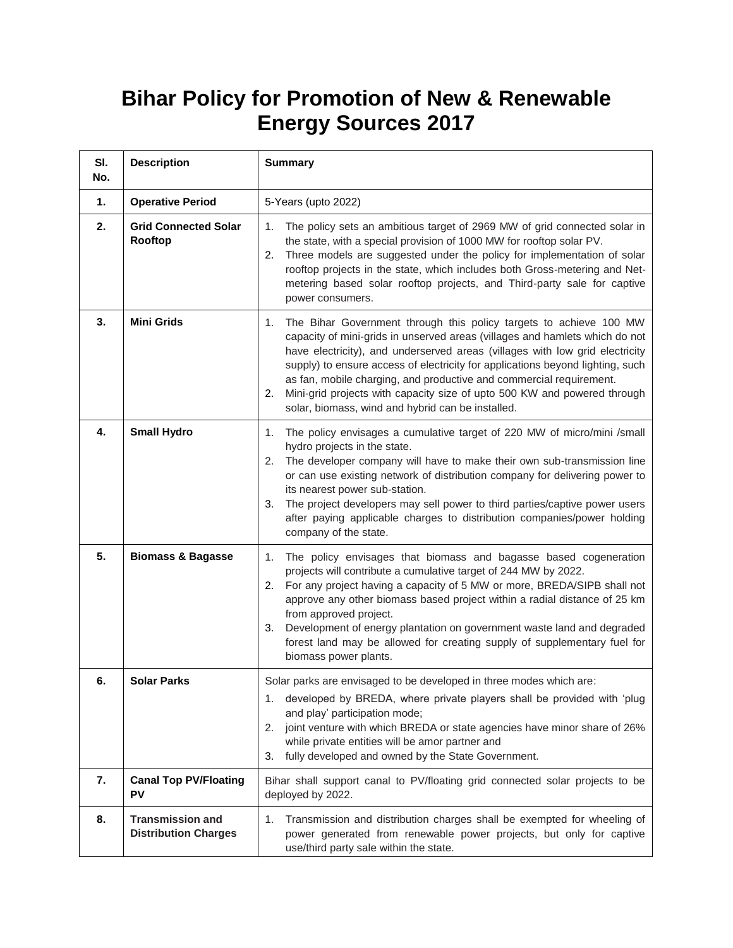## **Bihar Policy for Promotion of New & Renewable Energy Sources 2017**

| SI.<br>No. | <b>Description</b>                                     | <b>Summary</b>                                                                                                                                                                                                                                                                                                                                                                                                                                                                                                                          |
|------------|--------------------------------------------------------|-----------------------------------------------------------------------------------------------------------------------------------------------------------------------------------------------------------------------------------------------------------------------------------------------------------------------------------------------------------------------------------------------------------------------------------------------------------------------------------------------------------------------------------------|
| 1.         | <b>Operative Period</b>                                | 5-Years (upto 2022)                                                                                                                                                                                                                                                                                                                                                                                                                                                                                                                     |
| 2.         | <b>Grid Connected Solar</b><br>Rooftop                 | The policy sets an ambitious target of 2969 MW of grid connected solar in<br>1.<br>the state, with a special provision of 1000 MW for rooftop solar PV.<br>Three models are suggested under the policy for implementation of solar<br>2.<br>rooftop projects in the state, which includes both Gross-metering and Net-<br>metering based solar rooftop projects, and Third-party sale for captive<br>power consumers.                                                                                                                   |
| 3.         | <b>Mini Grids</b>                                      | The Bihar Government through this policy targets to achieve 100 MW<br>1.<br>capacity of mini-grids in unserved areas (villages and hamlets which do not<br>have electricity), and underserved areas (villages with low grid electricity<br>supply) to ensure access of electricity for applications beyond lighting, such<br>as fan, mobile charging, and productive and commercial requirement.<br>Mini-grid projects with capacity size of upto 500 KW and powered through<br>2.<br>solar, biomass, wind and hybrid can be installed. |
| 4.         | <b>Small Hydro</b>                                     | The policy envisages a cumulative target of 220 MW of micro/mini /small<br>1.<br>hydro projects in the state.<br>The developer company will have to make their own sub-transmission line<br>2.<br>or can use existing network of distribution company for delivering power to<br>its nearest power sub-station.<br>The project developers may sell power to third parties/captive power users<br>3.<br>after paying applicable charges to distribution companies/power holding<br>company of the state.                                 |
| 5.         | <b>Biomass &amp; Bagasse</b>                           | The policy envisages that biomass and bagasse based cogeneration<br>1.<br>projects will contribute a cumulative target of 244 MW by 2022.<br>2. For any project having a capacity of 5 MW or more, BREDA/SIPB shall not<br>approve any other biomass based project within a radial distance of 25 km<br>from approved project.<br>Development of energy plantation on government waste land and degraded<br>3.<br>forest land may be allowed for creating supply of supplementary fuel for<br>biomass power plants.                     |
| 6.         | <b>Solar Parks</b>                                     | Solar parks are envisaged to be developed in three modes which are:<br>developed by BREDA, where private players shall be provided with 'plug<br>1.<br>and play' participation mode;<br>joint venture with which BREDA or state agencies have minor share of 26%<br>2.<br>while private entities will be amor partner and<br>fully developed and owned by the State Government.<br>3.                                                                                                                                                   |
| 7.         | <b>Canal Top PV/Floating</b><br>PV                     | Bihar shall support canal to PV/floating grid connected solar projects to be<br>deployed by 2022.                                                                                                                                                                                                                                                                                                                                                                                                                                       |
| 8.         | <b>Transmission and</b><br><b>Distribution Charges</b> | Transmission and distribution charges shall be exempted for wheeling of<br>1.<br>power generated from renewable power projects, but only for captive<br>use/third party sale within the state.                                                                                                                                                                                                                                                                                                                                          |